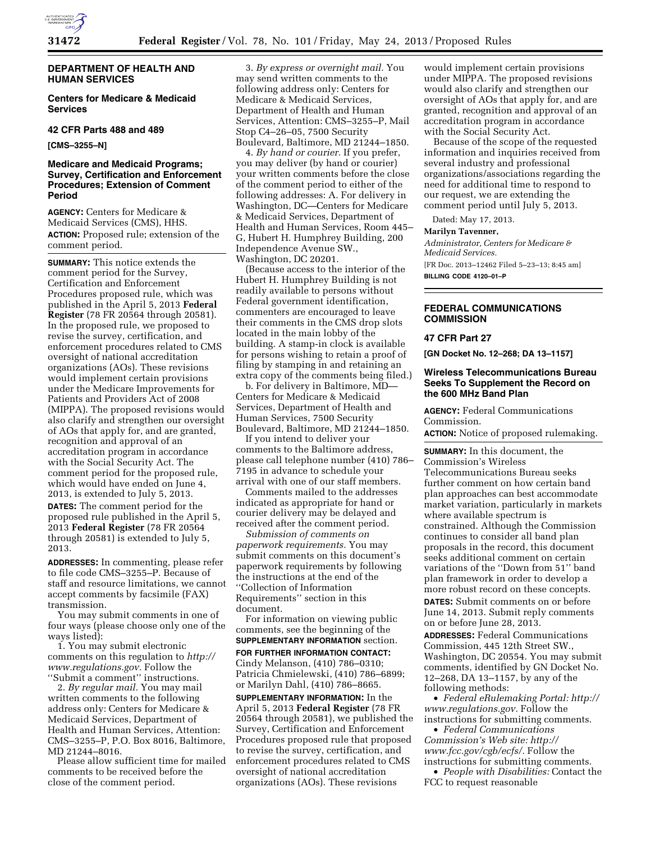

# **DEPARTMENT OF HEALTH AND HUMAN SERVICES**

**Centers for Medicare & Medicaid Services** 

## **42 CFR Parts 488 and 489**

**[CMS–3255–N]** 

## **Medicare and Medicaid Programs; Survey, Certification and Enforcement Procedures; Extension of Comment Period**

**AGENCY:** Centers for Medicare & Medicaid Services (CMS), HHS. **ACTION:** Proposed rule; extension of the comment period.

**SUMMARY:** This notice extends the comment period for the Survey, Certification and Enforcement Procedures proposed rule, which was published in the April 5, 2013 **Federal Register** (78 FR 20564 through 20581). In the proposed rule, we proposed to revise the survey, certification, and enforcement procedures related to CMS oversight of national accreditation organizations (AOs). These revisions would implement certain provisions under the Medicare Improvements for Patients and Providers Act of 2008 (MIPPA). The proposed revisions would also clarify and strengthen our oversight of AOs that apply for, and are granted, recognition and approval of an accreditation program in accordance with the Social Security Act. The comment period for the proposed rule, which would have ended on June 4, 2013, is extended to July 5, 2013. **DATES:** The comment period for the proposed rule published in the April 5, 2013 **Federal Register** (78 FR 20564 through 20581) is extended to July 5, 2013.

**ADDRESSES:** In commenting, please refer to file code CMS–3255–P. Because of staff and resource limitations, we cannot accept comments by facsimile (FAX) transmission.

You may submit comments in one of four ways (please choose only one of the ways listed):

1. You may submit electronic comments on this regulation to *[http://](http://www.regulations.gov) [www.regulations.gov.](http://www.regulations.gov)* Follow the ''Submit a comment'' instructions.

2. *By regular mail.* You may mail written comments to the following address only: Centers for Medicare & Medicaid Services, Department of Health and Human Services, Attention: CMS–3255–P, P.O. Box 8016, Baltimore, MD 21244–8016.

Please allow sufficient time for mailed comments to be received before the close of the comment period.

3. *By express or overnight mail.* You may send written comments to the following address only: Centers for Medicare & Medicaid Services, Department of Health and Human Services, Attention: CMS–3255–P, Mail Stop C4–26–05, 7500 Security Boulevard, Baltimore, MD 21244–1850.

4. *By hand or courier.* If you prefer, you may deliver (by hand or courier) your written comments before the close of the comment period to either of the following addresses: A. For delivery in Washington, DC—Centers for Medicare & Medicaid Services, Department of Health and Human Services, Room 445– G, Hubert H. Humphrey Building, 200 Independence Avenue SW., Washington, DC 20201.

(Because access to the interior of the Hubert H. Humphrey Building is not readily available to persons without Federal government identification, commenters are encouraged to leave their comments in the CMS drop slots located in the main lobby of the building. A stamp-in clock is available for persons wishing to retain a proof of filing by stamping in and retaining an extra copy of the comments being filed.)

b. For delivery in Baltimore, MD— Centers for Medicare & Medicaid Services, Department of Health and Human Services, 7500 Security Boulevard, Baltimore, MD 21244–1850.

If you intend to deliver your comments to the Baltimore address, please call telephone number (410) 786– 7195 in advance to schedule your arrival with one of our staff members.

Comments mailed to the addresses indicated as appropriate for hand or courier delivery may be delayed and received after the comment period.

*Submission of comments on paperwork requirements.* You may submit comments on this document's paperwork requirements by following the instructions at the end of the ''Collection of Information Requirements'' section in this document.

For information on viewing public comments, see the beginning of the **SUPPLEMENTARY INFORMATION** section.

**FOR FURTHER INFORMATION CONTACT:**  Cindy Melanson, (410) 786–0310; Patricia Chmielewski, (410) 786–6899; or Marilyn Dahl, (410) 786–8665.

**SUPPLEMENTARY INFORMATION:** In the April 5, 2013 **Federal Register** (78 FR 20564 through 20581), we published the Survey, Certification and Enforcement Procedures proposed rule that proposed to revise the survey, certification, and enforcement procedures related to CMS oversight of national accreditation organizations (AOs). These revisions

would implement certain provisions under MIPPA. The proposed revisions would also clarify and strengthen our oversight of AOs that apply for, and are granted, recognition and approval of an accreditation program in accordance with the Social Security Act.

Because of the scope of the requested information and inquiries received from several industry and professional organizations/associations regarding the need for additional time to respond to our request, we are extending the comment period until July 5, 2013.

Dated: May 17, 2013.

#### **Marilyn Tavenner,**

*Administrator, Centers for Medicare & Medicaid Services.*  [FR Doc. 2013–12462 Filed 5–23–13; 8:45 am] **BILLING CODE 4120–01–P** 

## **FEDERAL COMMUNICATIONS COMMISSION**

#### **47 CFR Part 27**

**[GN Docket No. 12–268; DA 13–1157]** 

### **Wireless Telecommunications Bureau Seeks To Supplement the Record on the 600 MHz Band Plan**

**AGENCY:** Federal Communications Commission.

**ACTION:** Notice of proposed rulemaking.

**SUMMARY:** In this document, the Commission's Wireless Telecommunications Bureau seeks further comment on how certain band plan approaches can best accommodate market variation, particularly in markets where available spectrum is constrained. Although the Commission continues to consider all band plan proposals in the record, this document seeks additional comment on certain variations of the ''Down from 51'' band plan framework in order to develop a more robust record on these concepts.

**DATES:** Submit comments on or before June 14, 2013. Submit reply comments on or before June 28, 2013.

**ADDRESSES:** Federal Communications Commission, 445 12th Street SW., Washington, DC 20554. You may submit comments, identified by GN Docket No. 12–268, DA 13–1157, by any of the following methods:

• *Federal eRulemaking Portal: [http://](http://www.regulations.gov)  [www.regulations.gov.](http://www.regulations.gov)* Follow the instructions for submitting comments.

• *Federal Communications Commission's Web site: [http://](http://www.fcc.gov/cgb/ecfs/) [www.fcc.gov/cgb/ecfs/.](http://www.fcc.gov/cgb/ecfs/)* Follow the instructions for submitting comments.

• *People with Disabilities:* Contact the FCC to request reasonable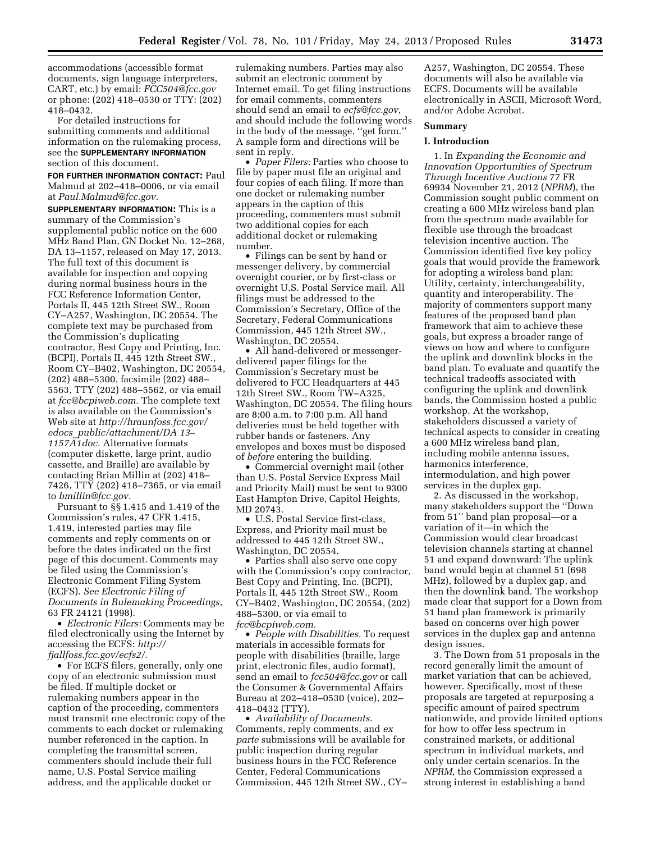accommodations (accessible format documents, sign language interpreters, CART, etc.) by email: *[FCC504@fcc.gov](mailto:FCC504@fcc.gov)*  or phone: (202) 418–0530 or TTY: (202) 418–0432.

For detailed instructions for submitting comments and additional information on the rulemaking process, see the **SUPPLEMENTARY INFORMATION** section of this document.

**FOR FURTHER INFORMATION CONTACT:** Paul Malmud at 202–418–0006, or via email at *[Paul.Malmud@fcc.gov.](mailto:Paul.Malmud@fcc.gov)* 

**SUPPLEMENTARY INFORMATION:** This is a summary of the Commission's supplemental public notice on the 600 MHz Band Plan, GN Docket No. 12–268, DA 13–1157, released on May 17, 2013. The full text of this document is available for inspection and copying during normal business hours in the FCC Reference Information Center, Portals II, 445 12th Street SW., Room CY–A257, Washington, DC 20554. The complete text may be purchased from the Commission's duplicating contractor, Best Copy and Printing, Inc. (BCPI), Portals II, 445 12th Street SW., Room CY–B402, Washington, DC 20554, (202) 488–5300, facsimile (202) 488– 5563, TTY (202) 488–5562, or via email at *[fcc@bcpiweb.com.](mailto:fcc@bcpiweb.com)* The complete text is also available on the Commission's Web site at *[http://hraunfoss.fcc.gov/](http://hraunfoss.fcc.gov/edocs_public/attachment/DA13%E2%80%931157A1doc)  edocs*\_*[public/attachment/DA 13–](http://hraunfoss.fcc.gov/edocs_public/attachment/DA13%E2%80%931157A1doc)  [1157A1doc.](http://hraunfoss.fcc.gov/edocs_public/attachment/DA13%E2%80%931157A1doc)* Alternative formats (computer diskette, large print, audio cassette, and Braille) are available by contacting Brian Millin at (202) 418– 7426, TTY (202) 418–7365, or via email to *[bmillin@fcc.gov.](mailto:bmillin@fcc.gov)* 

Pursuant to §§ 1.415 and 1.419 of the Commission's rules, 47 CFR 1.415, 1.419, interested parties may file comments and reply comments on or before the dates indicated on the first page of this document. Comments may be filed using the Commission's Electronic Comment Filing System (ECFS). *See Electronic Filing of Documents in Rulemaking Proceedings,*  63 FR 24121 (1998).

• *Electronic Filers:* Comments may be filed electronically using the Internet by accessing the ECFS: *[http://](http://fjallfoss.fcc.gov/ecfs2/)  [fjallfoss.fcc.gov/ecfs2/.](http://fjallfoss.fcc.gov/ecfs2/)* 

• For ECFS filers, generally, only one copy of an electronic submission must be filed. If multiple docket or rulemaking numbers appear in the caption of the proceeding, commenters must transmit one electronic copy of the comments to each docket or rulemaking number referenced in the caption. In completing the transmittal screen, commenters should include their full name, U.S. Postal Service mailing address, and the applicable docket or

rulemaking numbers. Parties may also submit an electronic comment by Internet email. To get filing instructions for email comments, commenters should send an email to *[ecfs@fcc.gov,](mailto:ecfs@fcc.gov)*  and should include the following words in the body of the message, ''get form.'' A sample form and directions will be sent in reply.

• *Paper Filers:* Parties who choose to file by paper must file an original and four copies of each filing. If more than one docket or rulemaking number appears in the caption of this proceeding, commenters must submit two additional copies for each additional docket or rulemaking number.

• Filings can be sent by hand or messenger delivery, by commercial overnight courier, or by first-class or overnight U.S. Postal Service mail. All filings must be addressed to the Commission's Secretary, Office of the Secretary, Federal Communications Commission, 445 12th Street SW., Washington, DC 20554.

• All hand-delivered or messengerdelivered paper filings for the Commission's Secretary must be delivered to FCC Headquarters at 445 12th Street SW., Room TW–A325, Washington, DC 20554. The filing hours are 8:00 a.m. to 7:00 p.m. All hand deliveries must be held together with rubber bands or fasteners. Any envelopes and boxes must be disposed of *before* entering the building.

• Commercial overnight mail (other than U.S. Postal Service Express Mail and Priority Mail) must be sent to 9300 East Hampton Drive, Capitol Heights, MD 20743.

• U.S. Postal Service first-class, Express, and Priority mail must be addressed to 445 12th Street SW., Washington, DC 20554.

• Parties shall also serve one copy with the Commission's copy contractor, Best Copy and Printing, Inc. (BCPI), Portals II, 445 12th Street SW., Room CY–B402, Washington, DC 20554, (202) 488–5300, or via email to *[fcc@bcpiweb.com.](mailto:fcc@bcpiweb.com)* 

• *People with Disabilities.* To request materials in accessible formats for people with disabilities (braille, large print, electronic files, audio format), send an email to *[fcc504@fcc.gov](mailto:fcc504@fcc.gov)* or call the Consumer & Governmental Affairs Bureau at 202–418–0530 (voice), 202– 418–0432 (TTY).

• *Availability of Documents.*  Comments, reply comments, and *ex parte* submissions will be available for public inspection during regular business hours in the FCC Reference Center, Federal Communications Commission, 445 12th Street SW., CY–

A257, Washington, DC 20554. These documents will also be available via ECFS. Documents will be available electronically in ASCII, Microsoft Word, and/or Adobe Acrobat.

# **Summary**

#### **I. Introduction**

1. In *Expanding the Economic and Innovation Opportunities of Spectrum Through Incentive Auctions* 77 FR 69934 November 21, 2012 (*NPRM*), the Commission sought public comment on creating a 600 MHz wireless band plan from the spectrum made available for flexible use through the broadcast television incentive auction. The Commission identified five key policy goals that would provide the framework for adopting a wireless band plan: Utility, certainty, interchangeability, quantity and interoperability. The majority of commenters support many features of the proposed band plan framework that aim to achieve these goals, but express a broader range of views on how and where to configure the uplink and downlink blocks in the band plan. To evaluate and quantify the technical tradeoffs associated with configuring the uplink and downlink bands, the Commission hosted a public workshop. At the workshop, stakeholders discussed a variety of technical aspects to consider in creating a 600 MHz wireless band plan, including mobile antenna issues, harmonics interference, intermodulation, and high power services in the duplex gap.

2. As discussed in the workshop, many stakeholders support the ''Down from 51'' band plan proposal—or a variation of it—in which the Commission would clear broadcast television channels starting at channel 51 and expand downward: The uplink band would begin at channel 51 (698 MHz), followed by a duplex gap, and then the downlink band. The workshop made clear that support for a Down from 51 band plan framework is primarily based on concerns over high power services in the duplex gap and antenna design issues.

3. The Down from 51 proposals in the record generally limit the amount of market variation that can be achieved, however. Specifically, most of these proposals are targeted at repurposing a specific amount of paired spectrum nationwide, and provide limited options for how to offer less spectrum in constrained markets, or additional spectrum in individual markets, and only under certain scenarios. In the *NPRM,* the Commission expressed a strong interest in establishing a band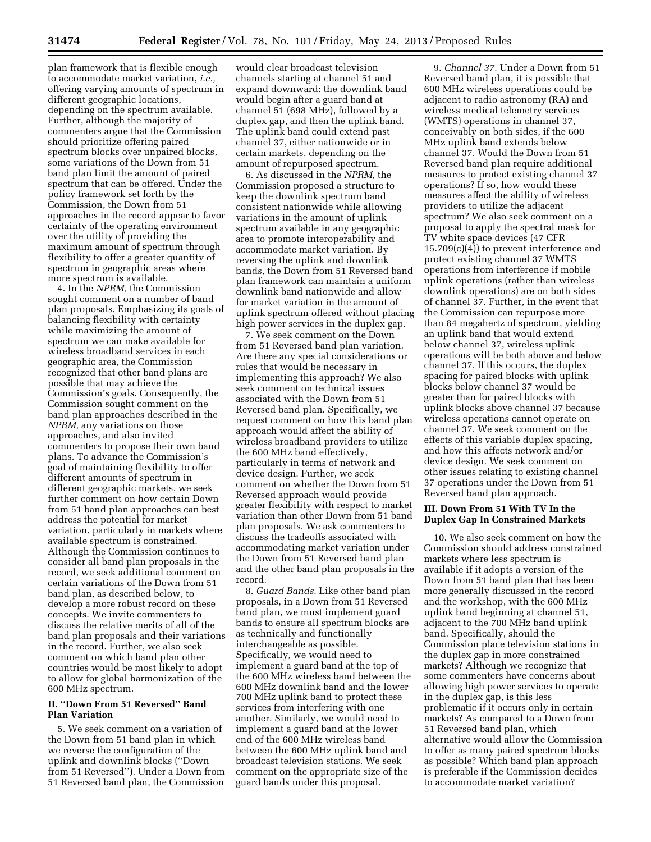plan framework that is flexible enough to accommodate market variation, *i.e.,*  offering varying amounts of spectrum in different geographic locations, depending on the spectrum available. Further, although the majority of commenters argue that the Commission should prioritize offering paired spectrum blocks over unpaired blocks, some variations of the Down from 51 band plan limit the amount of paired spectrum that can be offered. Under the policy framework set forth by the Commission, the Down from 51 approaches in the record appear to favor certainty of the operating environment over the utility of providing the maximum amount of spectrum through flexibility to offer a greater quantity of spectrum in geographic areas where more spectrum is available.

4. In the *NPRM,* the Commission sought comment on a number of band plan proposals. Emphasizing its goals of balancing flexibility with certainty while maximizing the amount of spectrum we can make available for wireless broadband services in each geographic area, the Commission recognized that other band plans are possible that may achieve the Commission's goals. Consequently, the Commission sought comment on the band plan approaches described in the *NPRM,* any variations on those approaches, and also invited commenters to propose their own band plans. To advance the Commission's goal of maintaining flexibility to offer different amounts of spectrum in different geographic markets, we seek further comment on how certain Down from 51 band plan approaches can best address the potential for market variation, particularly in markets where available spectrum is constrained. Although the Commission continues to consider all band plan proposals in the record, we seek additional comment on certain variations of the Down from 51 band plan, as described below, to develop a more robust record on these concepts. We invite commenters to discuss the relative merits of all of the band plan proposals and their variations in the record. Further, we also seek comment on which band plan other countries would be most likely to adopt to allow for global harmonization of the 600 MHz spectrum.

### **II. ''Down From 51 Reversed'' Band Plan Variation**

5. We seek comment on a variation of the Down from 51 band plan in which we reverse the configuration of the uplink and downlink blocks (''Down from 51 Reversed''). Under a Down from 51 Reversed band plan, the Commission

would clear broadcast television channels starting at channel 51 and expand downward: the downlink band would begin after a guard band at channel 51 (698 MHz), followed by a duplex gap, and then the uplink band. The uplink band could extend past channel 37, either nationwide or in certain markets, depending on the amount of repurposed spectrum.

6. As discussed in the *NPRM,* the Commission proposed a structure to keep the downlink spectrum band consistent nationwide while allowing variations in the amount of uplink spectrum available in any geographic area to promote interoperability and accommodate market variation. By reversing the uplink and downlink bands, the Down from 51 Reversed band plan framework can maintain a uniform downlink band nationwide and allow for market variation in the amount of uplink spectrum offered without placing high power services in the duplex gap.

7. We seek comment on the Down from 51 Reversed band plan variation. Are there any special considerations or rules that would be necessary in implementing this approach? We also seek comment on technical issues associated with the Down from 51 Reversed band plan. Specifically, we request comment on how this band plan approach would affect the ability of wireless broadband providers to utilize the 600 MHz band effectively, particularly in terms of network and device design. Further, we seek comment on whether the Down from 51 Reversed approach would provide greater flexibility with respect to market variation than other Down from 51 band plan proposals. We ask commenters to discuss the tradeoffs associated with accommodating market variation under the Down from 51 Reversed band plan and the other band plan proposals in the record.

8. *Guard Bands.* Like other band plan proposals, in a Down from 51 Reversed band plan, we must implement guard bands to ensure all spectrum blocks are as technically and functionally interchangeable as possible. Specifically, we would need to implement a guard band at the top of the 600 MHz wireless band between the 600 MHz downlink band and the lower 700 MHz uplink band to protect these services from interfering with one another. Similarly, we would need to implement a guard band at the lower end of the 600 MHz wireless band between the 600 MHz uplink band and broadcast television stations. We seek comment on the appropriate size of the guard bands under this proposal.

9. *Channel 37.* Under a Down from 51 Reversed band plan, it is possible that 600 MHz wireless operations could be adjacent to radio astronomy (RA) and wireless medical telemetry services (WMTS) operations in channel 37, conceivably on both sides, if the 600 MHz uplink band extends below channel 37. Would the Down from 51 Reversed band plan require additional measures to protect existing channel 37 operations? If so, how would these measures affect the ability of wireless providers to utilize the adjacent spectrum? We also seek comment on a proposal to apply the spectral mask for TV white space devices (47 CFR 15.709(c)(4)) to prevent interference and protect existing channel 37 WMTS operations from interference if mobile uplink operations (rather than wireless downlink operations) are on both sides of channel 37. Further, in the event that the Commission can repurpose more than 84 megahertz of spectrum, yielding an uplink band that would extend below channel 37, wireless uplink operations will be both above and below channel 37. If this occurs, the duplex spacing for paired blocks with uplink blocks below channel 37 would be greater than for paired blocks with uplink blocks above channel 37 because wireless operations cannot operate on channel 37. We seek comment on the effects of this variable duplex spacing, and how this affects network and/or device design. We seek comment on other issues relating to existing channel 37 operations under the Down from 51 Reversed band plan approach.

## **III. Down From 51 With TV In the Duplex Gap In Constrained Markets**

10. We also seek comment on how the Commission should address constrained markets where less spectrum is available if it adopts a version of the Down from 51 band plan that has been more generally discussed in the record and the workshop, with the 600 MHz uplink band beginning at channel 51, adjacent to the 700 MHz band uplink band. Specifically, should the Commission place television stations in the duplex gap in more constrained markets? Although we recognize that some commenters have concerns about allowing high power services to operate in the duplex gap, is this less problematic if it occurs only in certain markets? As compared to a Down from 51 Reversed band plan, which alternative would allow the Commission to offer as many paired spectrum blocks as possible? Which band plan approach is preferable if the Commission decides to accommodate market variation?